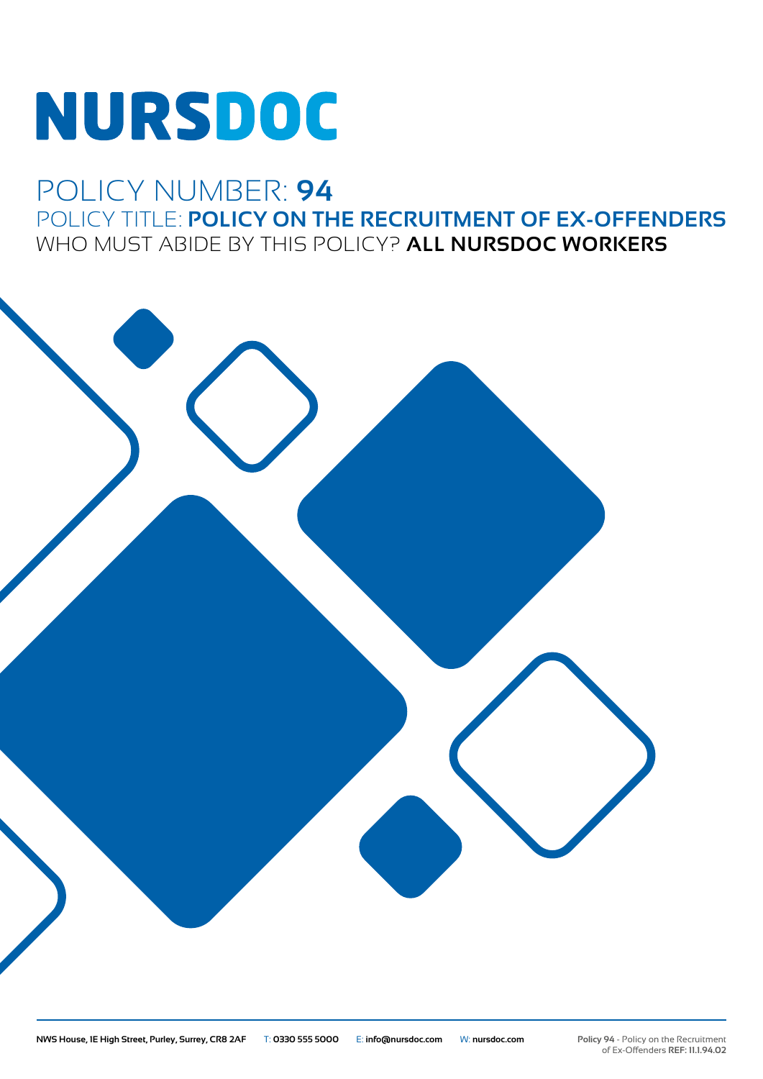# **NURSDOC**

### POLICY NUMBER: **94** POLICY TITLE: **POLICY ON THE RECRUITMENT OF EX-OFFENDERS** WHO MUST ABIDE BY THIS POLICY? **ALL NURSDOC WORKERS**